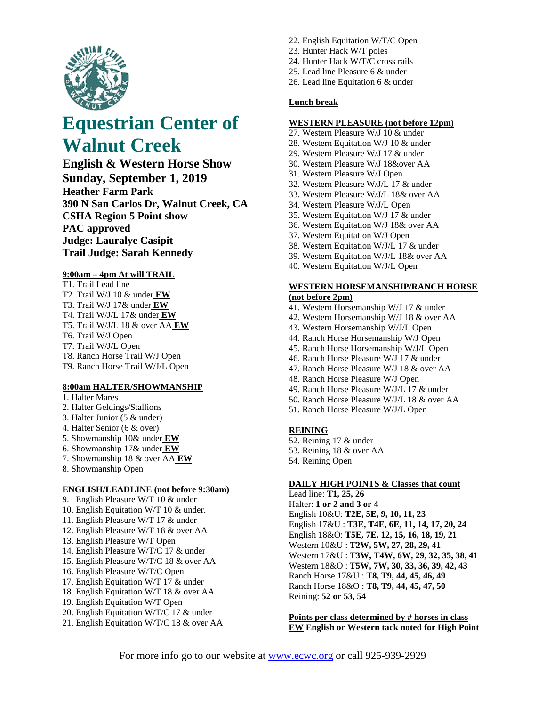

# **Equestrian Center of Walnut Creek**

**English & Western Horse Show Sunday, September 1, 2019 Heather Farm Park 390 N San Carlos Dr, Walnut Creek, CA CSHA Region 5 Point show PAC approved Judge: Lauralye Casipit Trail Judge: Sarah Kennedy**

#### **9:00am – 4pm At will TRAIL**

T1. Trail Lead line T2. Trail W/J 10 & under **EW** T3. Trail W/J 17& under **EW** T4. Trail W/J/L 17& under **EW** T5. Trail W/J/L 18 & over AA **EW** T6. Trail W/J Open T7. Trail W/J/L Open T8. Ranch Horse Trail W/J Open T9. Ranch Horse Trail W/J/L Open

## **8:00am HALTER/SHOWMANSHIP**

- 1. Halter Mares
- 2. Halter Geldings/Stallions
- 3. Halter Junior (5 & under)
- 4. Halter Senior (6 & over)
- 5. Showmanship 10& under **EW**
- 6. Showmanship 17& under **EW**
- 7. Showmanship 18 & over AA **EW**
- 8. Showmanship Open

## **ENGLISH/LEADLINE (not before 9:30am)**

- 9. English Pleasure W/T 10 & under
- 10. English Equitation W/T 10 & under.
- 11. English Pleasure W/T 17 & under
- 12. English Pleasure W/T 18 & over AA
- 13. English Pleasure W/T Open
- 14. English Pleasure W/T/C 17 & under
- 15. English Pleasure W/T/C 18 & over AA
- 16. English Pleasure W/T/C Open
- 17. English Equitation W/T 17 & under
- 18. English Equitation W/T 18 & over AA
- 19. English Equitation W/T Open
- 20. English Equitation W/T/C 17 & under
- 21. English Equitation W/T/C 18 & over AA
- 22. English Equitation W/T/C Open
- 23. Hunter Hack W/T poles
- 24. Hunter Hack W/T/C cross rails
- 25. Lead line Pleasure 6 & under
- 26. Lead line Equitation 6 & under

## **Lunch break**

## **WESTERN PLEASURE (not before 12pm)**

- 27. Western Pleasure W/J 10 & under
- 28. Western Equitation W/J 10 & under
- 29. Western Pleasure W/J 17 & under
- 30. Western Pleasure W/J 18&over AA
- 31. Western Pleasure W/J Open
- 32. Western Pleasure W/J/L 17 & under
- 33. Western Pleasure W/J/L 18& over AA
- 34. Western Pleasure W/J/L Open
- 35. Western Equitation W/J 17 & under
- 36. Western Equitation W/J 18& over AA
- 37. Western Equitation W/J Open
- 38. Western Equitation W/J/L 17 & under
- 39. Western Equitation W/J/L 18& over AA
- 40. Western Equitation W/J/L Open

## **WESTERN HORSEMANSHIP/RANCH HORSE (not before 2pm)**

- 41. Western Horsemanship W/J 17 & under
- 42. Western Horsemanship W/J 18 & over AA
- 43. Western Horsemanship W/J/L Open
- 44. Ranch Horse Horsemanship W/J Open
- 45. Ranch Horse Horsemanship W/J/L Open
- 46. Ranch Horse Pleasure W/J 17 & under
- 47. Ranch Horse Pleasure W/J 18 & over AA
- 48. Ranch Horse Pleasure W/J Open
- 49. Ranch Horse Pleasure W/J/L 17 & under
- 50. Ranch Horse Pleasure W/J/L 18 & over AA
- 51. Ranch Horse Pleasure W/J/L Open

#### **REINING**

- 52. Reining 17 & under
- 53. Reining 18 & over AA
- 54. Reining Open

## **DAILY HIGH POINTS & Classes that count**

Lead line: **T1, 25, 26** Halter: **1 or 2 and 3 or 4** English 10&U: **T2E, 5E, 9, 10, 11, 23**  English 17&U : **T3E, T4E, 6E, 11, 14, 17, 20, 24** English 18&O: **T5E, 7E, 12, 15, 16, 18, 19, 21** Western 10&U : **T2W, 5W, 27, 28, 29, 41** Western 17&U : **T3W, T4W, 6W, 29, 32, 35, 38, 41** Western 18&O : **T5W, 7W, 30, 33, 36, 39, 42, 43** Ranch Horse 17&U : **T8, T9, 44, 45, 46, 49** Ranch Horse 18&O : **T8, T9, 44, 45, 47, 50** Reining: **52 or 53, 54**

**Points per class determined by # horses in class EW English or Western tack noted for High Point**

For more info go to our website at [www.ecwc.org](http://www.ecwc.org/) or call 925-939-2929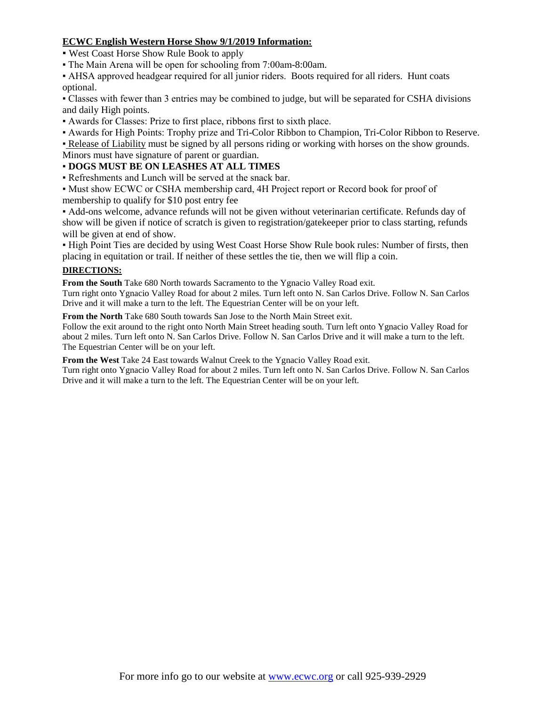# **ECWC English Western Horse Show 9/1/2019 Information:**

▪ West Coast Horse Show Rule Book to apply

▪ The Main Arena will be open for schooling from 7:00am-8:00am.

▪ AHSA approved headgear required for all junior riders. Boots required for all riders. Hunt coats optional.

▪ Classes with fewer than 3 entries may be combined to judge, but will be separated for CSHA divisions and daily High points.

- Awards for Classes: Prize to first place, ribbons first to sixth place.
- Awards for High Points: Trophy prize and Tri-Color Ribbon to Champion, Tri-Color Ribbon to Reserve.

▪ [Release of Liability](http://www.horsenpony.com/horseshows/release.htm) must be signed by all persons riding or working with horses on the show grounds. Minors must have signature of parent or guardian.

# ▪ **DOGS MUST BE ON LEASHES AT ALL TIMES**

▪ Refreshments and Lunch will be served at the snack bar.

▪ Must show ECWC or CSHA membership card, 4H Project report or Record book for proof of membership to qualify for \$10 post entry fee

▪ Add-ons welcome, advance refunds will not be given without veterinarian certificate. Refunds day of show will be given if notice of scratch is given to registration/gatekeeper prior to class starting, refunds will be given at end of show.

▪ High Point Ties are decided by using West Coast Horse Show Rule book rules: Number of firsts, then placing in equitation or trail. If neither of these settles the tie, then we will flip a coin.

# **DIRECTIONS:**

**From the South** Take 680 North towards Sacramento to the Ygnacio Valley Road exit.

Turn right onto Ygnacio Valley Road for about 2 miles. Turn left onto N. San Carlos Drive. Follow N. San Carlos Drive and it will make a turn to the left. The Equestrian Center will be on your left.

**From the North** Take 680 South towards San Jose to the North Main Street exit.

Follow the exit around to the right onto North Main Street heading south. Turn left onto Ygnacio Valley Road for about 2 miles. Turn left onto N. San Carlos Drive. Follow N. San Carlos Drive and it will make a turn to the left. The Equestrian Center will be on your left.

**From the West** Take 24 East towards Walnut Creek to the Ygnacio Valley Road exit.

Turn right onto Ygnacio Valley Road for about 2 miles. Turn left onto N. San Carlos Drive. Follow N. San Carlos Drive and it will make a turn to the left. The Equestrian Center will be on your left.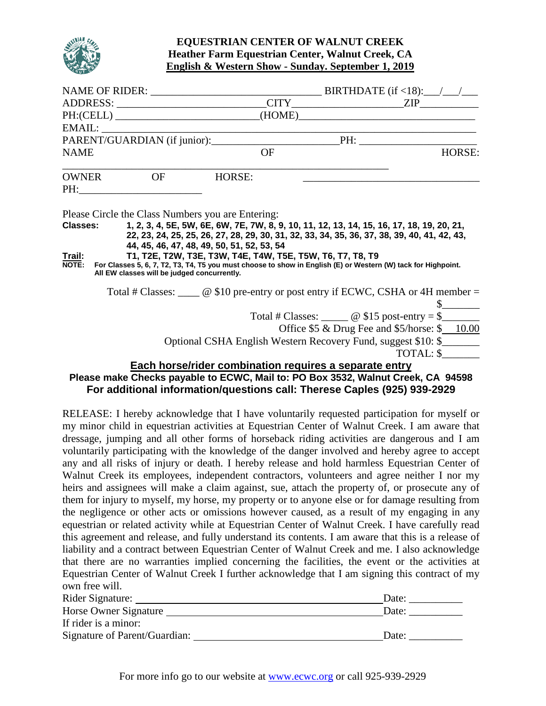

## **EQUESTRIAN CENTER OF WALNUT CREEK Heather Farm Equestrian Center, Walnut Creek, CA English & Western Show - Sunday. September 1, 2019**

|                        |                                             |                                                                                                          | PH:(CELL) _____________________________(HOME)___________________________________                                       |
|------------------------|---------------------------------------------|----------------------------------------------------------------------------------------------------------|------------------------------------------------------------------------------------------------------------------------|
|                        |                                             |                                                                                                          |                                                                                                                        |
|                        |                                             |                                                                                                          |                                                                                                                        |
| <b>NAME</b>            |                                             | OF                                                                                                       | HORSE:                                                                                                                 |
|                        | OWNER OF                                    | HORSE:                                                                                                   |                                                                                                                        |
|                        | PH:                                         |                                                                                                          |                                                                                                                        |
| <u>Trail:</u><br>NOTE: | All EW classes will be judged concurrently. | 44, 45, 46, 47, 48, 49, 50, 51, 52, 53, 54<br>T1, T2E, T2W, T3E, T3W, T4E, T4W, T5E, T5W, T6, T7, T8, T9 | For Classes 5, 6, 7, T2, T3, T4, T5 you must choose to show in English (E) or Western (W) tack for Highpoint.          |
|                        |                                             |                                                                                                          | Total # Classes: $\_\_\_\_$ @ \$10 pre-entry or post entry if ECWC, CSHA or 4H member =<br>$\frac{\text{S}}{\text{S}}$ |
|                        |                                             |                                                                                                          | Total # Classes: $\_\_\_\_\_\_\_\$ @ \$15 post-entry = \$                                                              |
|                        |                                             |                                                                                                          | Office \$5 & Drug Fee and \$5/horse: \$ 10.00                                                                          |
|                        |                                             |                                                                                                          | Optional CSHA English Western Recovery Fund, suggest \$10: \$                                                          |
|                        |                                             |                                                                                                          | TOTAL: \$                                                                                                              |
|                        |                                             | Each horse/rider combination requires a separate entry                                                   |                                                                                                                        |

# **Please make Checks payable to ECWC, Mail to: PO Box 3532, Walnut Creek, CA 94598 For additional information/questions call: Therese Caples (925) 939-2929**

RELEASE: I hereby acknowledge that I have voluntarily requested participation for myself or my minor child in equestrian activities at Equestrian Center of Walnut Creek. I am aware that dressage, jumping and all other forms of horseback riding activities are dangerous and I am voluntarily participating with the knowledge of the danger involved and hereby agree to accept any and all risks of injury or death. I hereby release and hold harmless Equestrian Center of Walnut Creek its employees, independent contractors, volunteers and agree neither I nor my heirs and assignees will make a claim against, sue, attach the property of, or prosecute any of them for injury to myself, my horse, my property or to anyone else or for damage resulting from the negligence or other acts or omissions however caused, as a result of my engaging in any equestrian or related activity while at Equestrian Center of Walnut Creek. I have carefully read this agreement and release, and fully understand its contents. I am aware that this is a release of liability and a contract between Equestrian Center of Walnut Creek and me. I also acknowledge that there are no warranties implied concerning the facilities, the event or the activities at Equestrian Center of Walnut Creek I further acknowledge that I am signing this contract of my own free will.

| Rider Signature:              | Date: |
|-------------------------------|-------|
| Horse Owner Signature         | Date: |
| If rider is a minor:          |       |
| Signature of Parent/Guardian: | Date: |